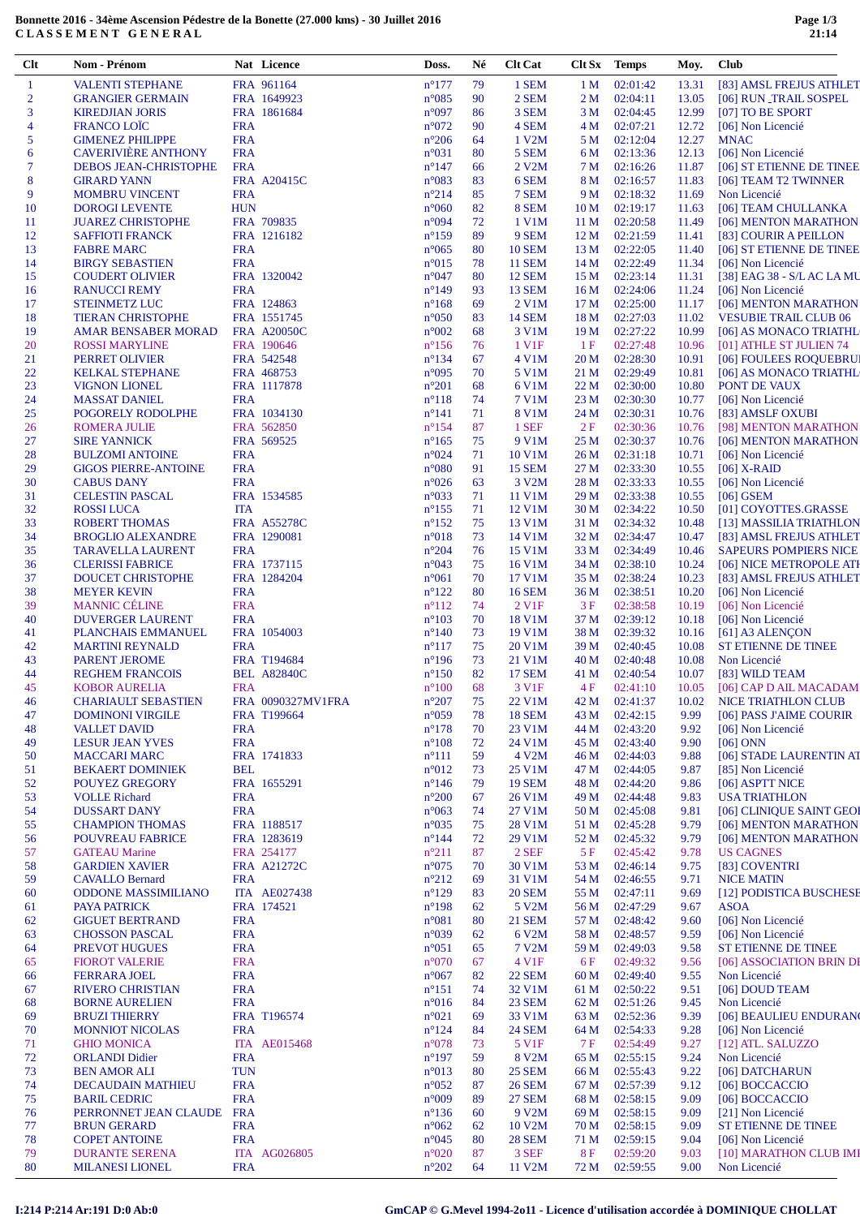## **Bonnette 2016 - 34ème Ascension Pédestre de la Bonette (27.000 kms) - 30 Juillet 2016 C L A S S E M E N T G E N E R A L**

| Clt            | Nom - Prénom                                          |            | Nat Licence                       | Doss.                            | Né       | <b>Clt Cat</b>              | Clt Sx          | <b>Temps</b>         | Moy.           | Club                                                   |
|----------------|-------------------------------------------------------|------------|-----------------------------------|----------------------------------|----------|-----------------------------|-----------------|----------------------|----------------|--------------------------------------------------------|
| 1              | <b>VALENTI STEPHANE</b>                               |            | FRA 961164                        | $n^{\circ}177$                   | 79       | 1 SEM                       | 1 <sub>M</sub>  | 02:01:42             | 13.31          | [83] AMSL FREJUS ATHLET                                |
| $\overline{2}$ | <b>GRANGIER GERMAIN</b>                               |            | FRA 1649923                       | $n^{\circ}085$                   | 90       | 2 SEM                       | 2 M             | 02:04:11             | 13.05          | [06] RUN_TRAIL SOSPEL                                  |
| 3              | <b>KIREDJIAN JORIS</b>                                |            | FRA 1861684                       | $n^{\circ}097$                   | 86       | 3 SEM                       | 3 M             | 02:04:45             | 12.99          | [07] TO BE SPORT                                       |
| $\overline{4}$ | <b>FRANCO LOÏC</b>                                    | <b>FRA</b> |                                   | $n^{\circ}072$                   | 90       | 4 SEM                       | 4 M             | 02:07:21             | 12.72          | [06] Non Licencié                                      |
| 5              | <b>GIMENEZ PHILIPPE</b>                               | <b>FRA</b> |                                   | $n^{\circ}206$                   | 64       | 1 V2M                       | 5 M             | 02:12:04             | 12.27          | <b>MNAC</b>                                            |
| 6              | <b>CAVERIVIÈRE ANTHONY</b>                            | <b>FRA</b> |                                   | $n^{\circ}031$                   | 80       | 5 SEM                       | 6 M             | 02:13:36             | 12.13          | [06] Non Licencié                                      |
| $\overline{7}$ | <b>DEBOS JEAN-CHRISTOPHE</b>                          | <b>FRA</b> |                                   | $n^{\circ}147$                   | 66       | 2 V2M                       | 7 M             | 02:16:26             | 11.87          | [06] ST ETIENNE DE TINEE                               |
| 8              | <b>GIRARD YANN</b>                                    |            | FRA A20415C                       | n°083                            | 83       | 6 SEM                       | 8 M             | 02:16:57             | 11.83          | [06] TEAM T2 TWINNER                                   |
| 9              | <b>MOMBRU VINCENT</b>                                 | <b>FRA</b> |                                   | $n^{\circ}214$                   | 85       | 7 SEM                       | 9 M             | 02:18:32             | 11.69          | Non Licencié                                           |
| 10             | <b>DOROGI LEVENTE</b>                                 | <b>HUN</b> |                                   | $n^{\circ}060$                   | 82       | 8 SEM                       | 10 <sub>M</sub> | 02:19:17             | 11.63          | [06] TEAM CHULLANKA                                    |
| 11             | <b>JUAREZ CHRISTOPHE</b>                              |            | FRA 709835                        | n°094                            | 72       | 1 V1M                       | 11 <sub>M</sub> | 02:20:58             | 11.49          | [06] MENTON MARATHON                                   |
| 12             | <b>SAFFIOTI FRANCK</b>                                |            | FRA 1216182                       | $n^{\circ}159$                   | 89       | 9 SEM                       | 12 M            | 02:21:59             | 11.41          | [83] COURIR A PEILLON                                  |
| 13             | <b>FABRE MARC</b>                                     | <b>FRA</b> |                                   | $n^{\circ}065$                   | 80       | <b>10 SEM</b>               | 13 M            | 02:22:05             | 11.40          | [06] ST ETIENNE DE TINEE                               |
| 14             | <b>BIRGY SEBASTIEN</b>                                | <b>FRA</b> |                                   | $n^{\circ}015$                   | 78       | <b>11 SEM</b>               | 14 M            | 02:22:49             | 11.34          | [06] Non Licencié                                      |
| 15             | <b>COUDERT OLIVIER</b>                                |            | FRA 1320042                       | $n^{\circ}047$                   | 80       | <b>12 SEM</b>               | 15 M            | 02:23:14             | 11.31          | [38] EAG 38 - S/L AC LA MU                             |
| 16             | <b>RANUCCI REMY</b>                                   | <b>FRA</b> | FRA 124863                        | $n^{\circ}149$<br>$n^{\circ}168$ | 93<br>69 | <b>13 SEM</b><br>$2$ V1M    | 16 M            | 02:24:06<br>02:25:00 | 11.24          | [06] Non Licencié                                      |
| 17             | <b>STEINMETZ LUC</b>                                  |            |                                   |                                  | 83       |                             | 17 M<br>18 M    | 02:27:03             | 11.17<br>11.02 | [06] MENTON MARATHON                                   |
| 18<br>19       | <b>TIERAN CHRISTOPHE</b><br>AMAR BENSABER MORAD       |            | FRA 1551745<br><b>FRA A20050C</b> | $n^{\circ}050$<br>$n^{\circ}002$ | 68       | <b>14 SEM</b><br>3 V1M      | 19 M            | 02:27:22             | 10.99          | <b>VESUBIE TRAIL CLUB 06</b><br>[06] AS MONACO TRIATHL |
| 20             | <b>ROSSI MARYLINE</b>                                 |            | FRA 190646                        | $n^{\circ}156$                   | 76       | 1 V1F                       | 1F              | 02:27:48             | 10.96          | [01] ATHLE ST JULIEN 74                                |
| 21             | PERRET OLIVIER                                        |            | FRA 542548                        | $n^{\circ}134$                   | 67       | 4 V1M                       | 20 M            | 02:28:30             | 10.91          | [06] FOULEES ROQUEBRUI                                 |
| 22             | <b>KELKAL STEPHANE</b>                                |            | FRA 468753                        | $n^{\circ}095$                   | 70       | 5 V1M                       | 21 M            | 02:29:49             | 10.81          | [06] AS MONACO TRIATHL                                 |
| 23             | <b>VIGNON LIONEL</b>                                  |            | FRA 1117878                       | $n^{\circ}201$                   | 68       | 6 V1M                       | 22 M            | 02:30:00             | 10.80          | PONT DE VAUX                                           |
| 24             | <b>MASSAT DANIEL</b>                                  | <b>FRA</b> |                                   | $n^{\circ}118$                   | 74       | 7 V1M                       | 23 M            | 02:30:30             | 10.77          | [06] Non Licencié                                      |
| 25             | POGORELY RODOLPHE                                     |            | FRA 1034130                       | $n^{\circ}141$                   | 71       | 8 V1M                       | 24 M            | 02:30:31             | 10.76          | [83] AMSLF OXUBI                                       |
| 26             | <b>ROMERA JULIE</b>                                   |            | FRA 562850                        | $n^{\circ}154$                   | 87       | 1 SEF                       | 2F              | 02:30:36             | 10.76          | [98] MENTON MARATHON                                   |
| 27             | <b>SIRE YANNICK</b>                                   |            | FRA 569525                        | $n^{\circ}165$                   | 75       | 9 V1M                       | 25 M            | 02:30:37             | 10.76          | [06] MENTON MARATHON                                   |
| 28             | <b>BULZOMI ANTOINE</b>                                | <b>FRA</b> |                                   | $n^{\circ}024$                   | 71       | 10 V1M                      | 26 M            | 02:31:18             | 10.71          | [06] Non Licencié                                      |
| 29             | <b>GIGOS PIERRE-ANTOINE</b>                           | <b>FRA</b> |                                   | $n^{\circ}080$                   | 91       | <b>15 SEM</b>               | 27 M            | 02:33:30             | 10.55          | $[06]$ X-RAID                                          |
| 30             | <b>CABUS DANY</b>                                     | <b>FRA</b> |                                   | $n^{\circ}026$                   | 63       | 3 V2M                       | 28 M            | 02:33:33             | 10.55          | [06] Non Licencié                                      |
| 31             | <b>CELESTIN PASCAL</b>                                |            | FRA 1534585                       | $n^{\circ}033$                   | 71       | 11 V1M                      | 29 M            | 02:33:38             | 10.55          | $[06]$ GSEM                                            |
| 32             | <b>ROSSILUCA</b>                                      | <b>ITA</b> |                                   | $n^{\circ}155$                   | 71       | 12 V1M                      | 30 M            | 02:34:22             | 10.50          | [01] COYOTTES.GRASSE                                   |
| 33             | <b>ROBERT THOMAS</b>                                  |            | <b>FRA A55278C</b>                | $n^{\circ}152$                   | 75       | 13 V1M                      | 31 M            | 02:34:32             | 10.48          | [13] MASSILIA TRIATHLON                                |
| 34             | <b>BROGLIO ALEXANDRE</b>                              |            | FRA 1290081                       | $n^{\circ}018$                   | 73       | 14 V1M                      | 32 M            | 02:34:47             | 10.47          | [83] AMSL FREJUS ATHLET                                |
| 35             | <b>TARAVELLA LAURENT</b>                              | <b>FRA</b> |                                   | $n^{\circ}204$                   | 76       | 15 V1M                      | 33 M            | 02:34:49             | 10.46          | <b>SAPEURS POMPIERS NICE</b>                           |
| 36             | <b>CLERISSI FABRICE</b>                               |            | FRA 1737115                       | $n^{\circ}043$                   | 75       | 16 V1M                      | 34 M            | 02:38:10             | 10.24          | [06] NICE METROPOLE ATI                                |
| 37             | DOUCET CHRISTOPHE                                     |            | FRA 1284204                       | $n^{\circ}061$                   | 70       | 17 V1M                      | 35 M            | 02:38:24             | 10.23          | [83] AMSL FREJUS ATHLET                                |
| 38             | <b>MEYER KEVIN</b>                                    | <b>FRA</b> |                                   | $n^{\circ}122$                   | 80       | <b>16 SEM</b>               | 36 M            | 02:38:51             | 10.20          | [06] Non Licencié                                      |
| 39             | <b>MANNIC CÉLINE</b>                                  | <b>FRA</b> |                                   | $n^{\circ}112$                   | 74       | $2$ V <sub>1F</sub>         | 3F              | 02:38:58             | 10.19          | [06] Non Licencié                                      |
| 40             | <b>DUVERGER LAURENT</b>                               | <b>FRA</b> |                                   | $n^{\circ}103$                   | 70       | 18 V1M                      | 37 M            | 02:39:12             | 10.18          | [06] Non Licencié                                      |
| 41             | PLANCHAIS EMMANUEL                                    |            | FRA 1054003                       | $n^{\circ}140$                   | 73       | 19 V1M                      | 38 M            | 02:39:32             | 10.16          | $[61]$ A3 ALENÇON                                      |
| 42             | <b>MARTINI REYNALD</b>                                | <b>FRA</b> |                                   | $n^{\circ}117$                   | 75       | 20 V1M                      | 39 M            | 02:40:45             | 10.08          | ST ETIENNE DE TINEE                                    |
| 43             | <b>PARENT JEROME</b>                                  |            | FRA T194684                       | $n^{\circ}196$                   | 73       | 21 V1M                      | 40 M            | 02:40:48             | 10.08          | Non Licencié                                           |
| 44             | <b>REGHEM FRANCOIS</b>                                |            | <b>BEL A82840C</b>                | $n^{\circ}150$                   | 82       | <b>17 SEM</b>               | 41 M            | 02:40:54             | 10.07          | [83] WILD TEAM                                         |
| 45             | <b>KOBOR AURELIA</b>                                  | <b>FRA</b> |                                   | $n^{\circ}100$                   | 68<br>75 | 3 V <sub>1F</sub><br>22 V1M | 4 F<br>42 M     | 02:41:10<br>02:41:37 | 10.05<br>10.02 | [06] CAP D AIL MACADAM<br><b>NICE TRIATHLON CLUB</b>   |
| 46<br>47       | <b>CHARIAULT SEBASTIEN</b><br><b>DOMINONI VIRGILE</b> |            | FRA 0090327MV1FRA<br>FRA T199664  | $n^{\circ}207$<br>$n^{\circ}059$ | 78       | <b>18 SEM</b>               | 43 M            | 02:42:15             | 9.99           | [06] PASS J'AIME COURIR                                |
| 48             | <b>VALLET DAVID</b>                                   | <b>FRA</b> |                                   | $n^{\circ}178$                   | 70       | 23 V1M                      | 44 M            | 02:43:20             | 9.92           | [06] Non Licencié                                      |
| 49             | <b>LESUR JEAN YVES</b>                                | <b>FRA</b> |                                   | $n^{\circ}108$                   | 72       | 24 V1M                      | 45 M            | 02:43:40             | 9.90           | $[06]$ ONN                                             |
| 50             | <b>MACCARI MARC</b>                                   |            | FRA 1741833                       | $n^{\circ}111$                   | 59       | 4 V <sub>2</sub> M          | 46 M            | 02:44:03             | 9.88           | [06] STADE LAURENTIN AT                                |
| 51             | <b>BEKAERT DOMINIEK</b>                               | <b>BEL</b> |                                   | $n^{\circ}012$                   | 73       | 25 V1M                      | 47 M            | 02:44:05             | 9.87           | [85] Non Licencié                                      |
| 52             | <b>POUYEZ GREGORY</b>                                 |            | FRA 1655291                       | $n^{\circ}$ 146                  | 79       | <b>19 SEM</b>               | 48 M            | 02:44:20             | 9.86           | [06] ASPTT NICE                                        |
| 53             | <b>VOLLE</b> Richard                                  | <b>FRA</b> |                                   | $n^{\circ}200$                   | 67       | 26 V1M                      | 49 M            | 02:44:48             | 9.83           | <b>USA TRIATHLON</b>                                   |
| 54             | <b>DUSSART DANY</b>                                   | <b>FRA</b> |                                   | $n^{\circ}063$                   | 74       | 27 V1M                      | 50 M            | 02:45:08             | 9.81           | [06] CLINIQUE SAINT GEOI                               |
| 55             | <b>CHAMPION THOMAS</b>                                |            | FRA 1188517                       | $n^{\circ}035$                   | 75       | 28 V1M                      | 51 M            | 02:45:28             | 9.79           | [06] MENTON MARATHON                                   |
| 56             | <b>POUVREAU FABRICE</b>                               |            | FRA 1283619                       | $n^{\circ}$ 144                  | 72       | 29 V1M                      | 52 M            | 02:45:32             | 9.79           | [06] MENTON MARATHON                                   |
| 57             | <b>GATEAU Marine</b>                                  |            | FRA 254177                        | $n^{\circ}211$                   | 87       | 2 SEF                       | 5 F             | 02:45:42             | 9.78           | <b>US CAGNES</b>                                       |
| 58             | <b>GARDIEN XAVIER</b>                                 |            | FRA A21272C                       | $n^{\circ}075$                   | 70       | 30 V1M                      | 53 M            | 02:46:14             | 9.75           | [83] COVENTRI                                          |
| 59             | <b>CAVALLO Bernard</b>                                | <b>FRA</b> |                                   | $n^{\circ}212$                   | 69       | 31 V1M                      | 54 M            | 02:46:55             | 9.71           | <b>NICE MATIN</b>                                      |
| 60             | <b>ODDONE MASSIMILIANO</b>                            |            | <b>ITA AE027438</b>               | $n^{\circ}129$                   | 83       | <b>20 SEM</b>               | 55 M            | 02:47:11             | 9.69           | [12] PODISTICA BUSCHESE                                |
| 61             | <b>PAYA PATRICK</b>                                   |            | FRA 174521                        | $n^{\circ}198$                   | 62       | 5 V2M                       | 56 M            | 02:47:29             | 9.67           | <b>ASOA</b>                                            |
| 62             | <b>GIGUET BERTRAND</b>                                | <b>FRA</b> |                                   | $n^{\circ}081$                   | 80       | <b>21 SEM</b>               | 57 M            | 02:48:42             | 9.60           | [06] Non Licencié                                      |
| 63             | <b>CHOSSON PASCAL</b>                                 | <b>FRA</b> |                                   | $n^{\circ}039$                   | 62       | 6 V2M                       | 58 M            | 02:48:57             | 9.59           | [06] Non Licencié                                      |
| 64             | <b>PREVOT HUGUES</b>                                  | <b>FRA</b> |                                   | $n^{\circ}051$                   | 65       | 7 V2M                       | 59 M            | 02:49:03             | 9.58           | <b>ST ETIENNE DE TINEE</b>                             |
| 65             | <b>FIOROT VALERIE</b>                                 | <b>FRA</b> |                                   | $n^{\circ}070$                   | 67       | 4 V1F                       | 6 F             | 02:49:32             | 9.56           | [06] ASSOCIATION BRIN DI                               |
| 66             | <b>FERRARA JOEL</b>                                   | <b>FRA</b> |                                   | $n^{\circ}067$                   | 82       | <b>22 SEM</b>               | 60 M            | 02:49:40             | 9.55           | Non Licencié                                           |
| 67             | <b>RIVERO CHRISTIAN</b>                               | <b>FRA</b> |                                   | $n^{\circ}151$                   | 74       | 32 V1M                      | 61 M            | 02:50:22             | 9.51           | [06] DOUD TEAM                                         |
| 68             | <b>BORNE AURELIEN</b>                                 | <b>FRA</b> |                                   | $n^{\circ}016$                   | 84       | <b>23 SEM</b>               | 62 M            | 02:51:26             | 9.45           | Non Licencié                                           |
| 69             | <b>BRUZI THIERRY</b>                                  |            | FRA T196574                       | $n^{\circ}021$                   | 69       | 33 V1M                      | 63 M            | 02:52:36             | 9.39           | [06] BEAULIEU ENDURANO                                 |
| 70             | <b>MONNIOT NICOLAS</b>                                | <b>FRA</b> |                                   | $n^{\circ}124$                   | 84       | <b>24 SEM</b>               | 64 M            | 02:54:33             | 9.28           | [06] Non Licencié                                      |
| 71             | <b>GHIO MONICA</b>                                    |            | <b>ITA AE015468</b>               | $n^{\circ}078$                   | 73       | 5 V1F                       | 7 F             | 02:54:49             | 9.27           | [12] ATL. SALUZZO                                      |
| 72             | <b>ORLANDI Didier</b>                                 | <b>FRA</b> |                                   | $n^{\circ}197$                   | 59       | 8 V2M                       | 65 M            | 02:55:15             | 9.24           | Non Licencié                                           |
| 73             | <b>BEN AMOR ALI</b>                                   | <b>TUN</b> |                                   | n°013                            | 80       | <b>25 SEM</b>               | 66 M            | 02:55:43             | 9.22           | [06] DATCHARUN                                         |
| 74             | <b>DECAUDAIN MATHIEU</b>                              | <b>FRA</b> |                                   | $n^{\circ}052$                   | 87       | <b>26 SEM</b>               | 67 M            | 02:57:39             | 9.12           | [06] BOCCACCIO                                         |
| 75             | <b>BARIL CEDRIC</b>                                   | <b>FRA</b> |                                   | $n^{\circ}009$                   | 89       | <b>27 SEM</b>               | 68 M            | 02:58:15             | 9.09           | [06] BOCCACCIO                                         |
| 76             | PERRONNET JEAN CLAUDE FRA                             |            |                                   | $n^{\circ}136$                   | 60       | 9 V <sub>2</sub> M          | 69 M            | 02:58:15             | 9.09           | [21] Non Licencié                                      |
| 77             | <b>BRUN GERARD</b>                                    | <b>FRA</b> |                                   | $n^{\circ}062$                   | 62       | 10 V2M                      | 70 M            | 02:58:15             | 9.09           | ST ETIENNE DE TINEE                                    |
| 78             | <b>COPET ANTOINE</b>                                  | <b>FRA</b> |                                   | $n^{\circ}045$                   | 80       | <b>28 SEM</b>               | 71 M            | 02:59:15             | 9.04           | [06] Non Licencié                                      |
| 79             | <b>DURANTE SERENA</b>                                 |            | ITA AG026805                      | $n^{\circ}020$                   | 87       | 3 SEF                       | 8F              | 02:59:20             | 9.03           | [10] MARATHON CLUB IMP                                 |
| 80             | <b>MILANESI LIONEL</b>                                | <b>FRA</b> |                                   | $n^{\circ}202$                   | 64       | 11 V2M                      | 72 M            | 02:59:55             | 9.00           | Non Licencié                                           |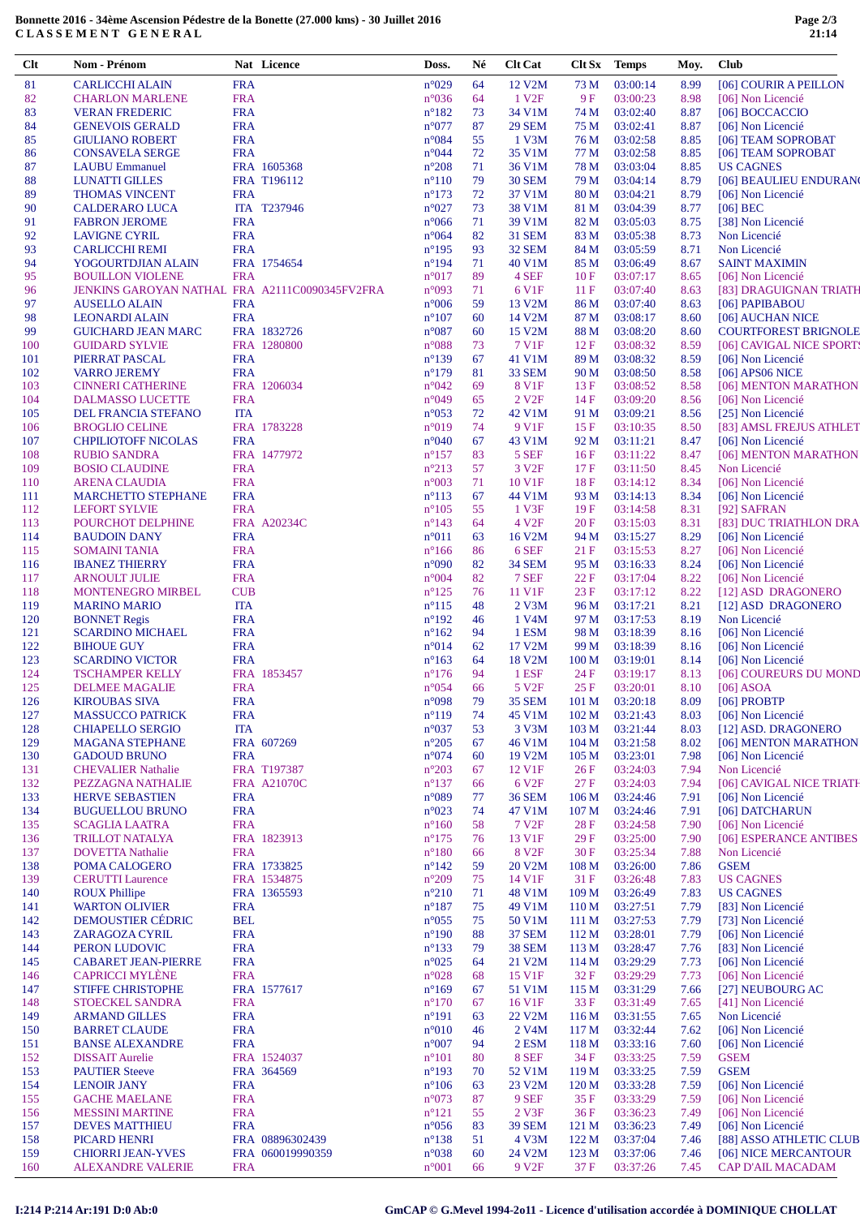## **Bonnette 2016 - 34ème Ascension Pédestre de la Bonette (27.000 kms) - 30 Juillet 2016 C L A S S E M E N T G E N E R A L**

| Clt        | Nom - Prénom                                                              |            | Nat Licence        | Doss.                            | Né       | <b>Clt Cat</b>             | Clt Sx                               | Temps                | Moy.         | <b>Club</b>                                 |
|------------|---------------------------------------------------------------------------|------------|--------------------|----------------------------------|----------|----------------------------|--------------------------------------|----------------------|--------------|---------------------------------------------|
| 81         | <b>CARLICCHI ALAIN</b>                                                    | <b>FRA</b> |                    | $n^{\circ}029$                   | 64       | 12 V2M                     | 73 M                                 | 03:00:14             | 8.99         | [06] COURIR A PEILLON                       |
| 82         | <b>CHARLON MARLENE</b>                                                    | <b>FRA</b> |                    | $n^{\circ}036$                   | 64       | 1 V <sub>2F</sub>          | 9F                                   | 03:00:23             | 8.98         | [06] Non Licencié                           |
| 83         | <b>VERAN FREDERIC</b>                                                     | <b>FRA</b> |                    | $n^{\circ}182$                   | 73       | 34 V1M                     | 74 M                                 | 03:02:40             | 8.87         | [06] BOCCACCIO                              |
| 84         | <b>GENEVOIS GERALD</b>                                                    | <b>FRA</b> |                    | $n^{\circ}077$                   | 87       | <b>29 SEM</b>              | 75 M                                 | 03:02:41             | 8.87         | [06] Non Licencié                           |
| 85         | <b>GIULIANO ROBERT</b>                                                    | <b>FRA</b> |                    | $n^{\circ}084$                   | 55       | 1 V3M                      | 76 M                                 | 03:02:58             | 8.85         | [06] TEAM SOPROBAT                          |
| 86         | <b>CONSAVELA SERGE</b>                                                    | <b>FRA</b> |                    | $n^{\circ}044$                   | 72       | 35 V1M                     | 77 M                                 | 03:02:58             | 8.85         | [06] TEAM SOPROBAT                          |
| 87         | <b>LAUBU Emmanuel</b>                                                     |            | FRA 1605368        | $n^{\circ}208$                   | 71       | 36 V1M                     | 78 M                                 | 03:03:04             | 8.85         | <b>US CAGNES</b>                            |
| 88         | <b>LUNATTI GILLES</b>                                                     |            | FRA T196112        | $n^{\circ}110$                   | 79       | <b>30 SEM</b>              | 79 M                                 | 03:04:14             | 8.79         | [06] BEAULIEU ENDURAN                       |
| 89         | <b>THOMAS VINCENT</b>                                                     | <b>FRA</b> |                    | $n^{\circ}173$                   | 72       | 37 V1M                     | 80 M                                 | 03:04:21             | 8.79         | [06] Non Licencié                           |
| 90         | <b>CALDERARO LUCA</b>                                                     |            | ITA T237946        | $n^{\circ}027$                   | 73       | 38 V1M                     | 81 M                                 | 03:04:39             | 8.77         | $[06]$ BEC                                  |
| 91         | <b>FABRON JEROME</b>                                                      | <b>FRA</b> |                    | $n^{\circ}066$                   | 71       | 39 V1M                     | 82 M                                 | 03:05:03             | 8.75         | [38] Non Licencié                           |
| 92         | <b>LAVIGNE CYRIL</b>                                                      | <b>FRA</b> |                    | $n^{\circ}064$                   | 82       | <b>31 SEM</b>              | 83 M                                 | 03:05:38             | 8.73         | Non Licencié                                |
| 93         | <b>CARLICCHI REMI</b>                                                     | <b>FRA</b> |                    | $n^{\circ}195$                   | 93       | <b>32 SEM</b>              | 84 M                                 | 03:05:59             | 8.71         | Non Licencié                                |
| 94         | YOGOURTDJIAN ALAIN                                                        |            | FRA 1754654        | $n^{\circ}194$                   | 71       | 40 V1M                     | 85 M                                 | 03:06:49             | 8.67         | <b>SAINT MAXIMIN</b>                        |
| 95<br>96   | <b>BOUILLON VIOLENE</b><br>JENKINS GAROYAN NATHAL FRA A2111C0090345FV2FRA | <b>FRA</b> |                    | $n^{\circ}017$<br>$n^{\circ}093$ | 89<br>71 | 4 SEF<br>6 V <sub>1F</sub> | 10F<br>11F                           | 03:07:17<br>03:07:40 | 8.65<br>8.63 | [06] Non Licencié<br>[83] DRAGUIGNAN TRIATH |
| 97         | <b>AUSELLO ALAIN</b>                                                      | <b>FRA</b> |                    | $n^{\circ}006$                   | 59       | 13 V2M                     | 86 M                                 | 03:07:40             | 8.63         | [06] PAPIBABOU                              |
| 98         | <b>LEONARDI ALAIN</b>                                                     | <b>FRA</b> |                    | $n^{\circ}107$                   | 60       | 14 V2M                     | 87 M                                 | 03:08:17             | 8.60         | [06] AUCHAN NICE                            |
| 99         | <b>GUICHARD JEAN MARC</b>                                                 |            | FRA 1832726        | $n^{\circ}087$                   | 60       | 15 V2M                     | 88 M                                 | 03:08:20             | 8.60         | <b>COURTFOREST BRIGNOLE</b>                 |
| 100        | <b>GUIDARD SYLVIE</b>                                                     |            | FRA 1280800        | $n^{\circ}088$                   | 73       | 7 V1F                      | 12F                                  | 03:08:32             | 8.59         | [06] CAVIGAL NICE SPORT:                    |
| 101        | PIERRAT PASCAL                                                            | <b>FRA</b> |                    | $n^{\circ}139$                   | 67       | 41 V1M                     | 89 M                                 | 03:08:32             | 8.59         | [06] Non Licencié                           |
| 102        | <b>VARRO JEREMY</b>                                                       | <b>FRA</b> |                    | $n^{\circ}179$                   | 81       | 33 SEM                     | 90 M                                 | 03:08:50             | 8.58         | $[06]$ APS06 NICE                           |
| 103        | <b>CINNERI CATHERINE</b>                                                  |            | FRA 1206034        | $n^{\circ}042$                   | 69       | 8 V1F                      | 13F                                  | 03:08:52             | 8.58         | [06] MENTON MARATHON                        |
| 104        | DALMASSO LUCETTE                                                          | <b>FRA</b> |                    | $n^{\circ}049$                   | 65       | 2 V <sub>2F</sub>          | 14F                                  | 03:09:20             | 8.56         | [06] Non Licencié                           |
| 105        | DEL FRANCIA STEFANO                                                       | <b>ITA</b> |                    | $n^{\circ}053$                   | 72       | 42 V1M                     | 91 M                                 | 03:09:21             | 8.56         | [25] Non Licencié                           |
| 106        | <b>BROGLIO CELINE</b>                                                     |            | FRA 1783228        | $n^{\circ}019$                   | 74       | 9 V1F                      | 15F                                  | 03:10:35             | 8.50         | [83] AMSL FREJUS ATHLET                     |
| 107        | <b>CHPILIOTOFF NICOLAS</b>                                                | <b>FRA</b> |                    | $n^{\circ}040$                   | 67       | 43 V1M                     | 92 M                                 | 03:11:21             | 8.47         | [06] Non Licencié                           |
| 108        | <b>RUBIO SANDRA</b>                                                       |            | FRA 1477972        | $n^{\circ}157$                   | 83       | 5 SEF                      | 16F                                  | 03:11:22             | 8.47         | [06] MENTON MARATHON                        |
| 109        | <b>BOSIO CLAUDINE</b>                                                     | <b>FRA</b> |                    | $n^{\circ}213$                   | 57       | 3 V <sub>2F</sub>          | 17F                                  | 03:11:50             | 8.45         | Non Licencié                                |
| 110        | <b>ARENA CLAUDIA</b>                                                      | <b>FRA</b> |                    | $n^{\circ}003$                   | 71       | 10 V1F                     | 18F                                  | 03:14:12             | 8.34         | [06] Non Licencié                           |
| 111        | <b>MARCHETTO STEPHANE</b>                                                 | <b>FRA</b> |                    | $n^{\circ}113$                   | 67       | 44 V1M                     | 93 M                                 | 03:14:13             | 8.34         | [06] Non Licencié                           |
| 112        | <b>LEFORT SYLVIE</b>                                                      | <b>FRA</b> |                    | $n^{\circ}105$                   | 55       | 1 V3F                      | 19F                                  | 03:14:58             | 8.31         | [92] SAFRAN                                 |
| 113        | POURCHOT DELPHINE                                                         |            | FRA A20234C        | $n^{\circ}143$                   | 64       | 4 V <sub>2F</sub>          | 20F                                  | 03:15:03             | 8.31         | [83] DUC TRIATHLON DRA                      |
| 114        | <b>BAUDOIN DANY</b>                                                       | <b>FRA</b> |                    | $n^{\circ}011$                   | 63       | 16 V2M                     | 94 M                                 | 03:15:27             | 8.29         | [06] Non Licencié                           |
| 115        | <b>SOMAINI TANIA</b>                                                      | <b>FRA</b> |                    | $n^{\circ}166$                   | 86       | 6 SEF                      | 21F                                  | 03:15:53             | 8.27         | [06] Non Licencié                           |
| 116        | <b>IBANEZ THIERRY</b>                                                     | <b>FRA</b> |                    | $n^{\circ}090$                   | 82       | <b>34 SEM</b>              | 95 M                                 | 03:16:33             | 8.24         | [06] Non Licencié                           |
| 117        | <b>ARNOULT JULIE</b>                                                      | <b>FRA</b> |                    | $n^{\circ}004$                   | 82       | 7 SEF                      | 22 F                                 | 03:17:04             | 8.22         | [06] Non Licencié                           |
| 118        | <b>MONTENEGRO MIRBEL</b>                                                  | <b>CUB</b> |                    | $n^{\circ}125$                   | 76       | 11 V1F                     | 23F                                  | 03:17:12             | 8.22         | [12] ASD DRAGONERO                          |
| 119        | <b>MARINO MARIO</b>                                                       | <b>ITA</b> |                    | $n^{\circ}115$                   | 48       | 2 V3M                      | 96 M                                 | 03:17:21             | 8.21         | [12] ASD DRAGONERO                          |
| 120        | <b>BONNET</b> Regis                                                       | <b>FRA</b> |                    | $n^{\circ}192$                   | 46       | 1 V4M                      | 97 M                                 | 03:17:53             | 8.19         | Non Licencié                                |
| 121        | <b>SCARDINO MICHAEL</b>                                                   | <b>FRA</b> |                    | $n^{\circ}162$                   | 94       | 1 ESM                      | 98 M                                 | 03:18:39             | 8.16         | [06] Non Licencié                           |
| 122        | <b>BIHOUE GUY</b>                                                         | <b>FRA</b> |                    | $n^{\circ}014$                   | 62       | 17 V2M                     | 99 M                                 | 03:18:39             | 8.16         | [06] Non Licencié                           |
| 123        | <b>SCARDINO VICTOR</b>                                                    | <b>FRA</b> |                    | $n^{\circ}163$                   | 64       | 18 V2M                     | 100 <sub>M</sub>                     | 03:19:01             | 8.14         | [06] Non Licencié                           |
| 124        | <b>TSCHAMPER KELLY</b>                                                    |            | FRA 1853457        | $n^{\circ}176$                   | 94       | 1 ESF                      | 24 F                                 | 03:19:17             | 8.13         | [06] COUREURS DU MOND                       |
| 125        | <b>DELMEE MAGALIE</b>                                                     | <b>FRA</b> |                    | $n^{\circ}054$                   | 66       | 5 V <sub>2F</sub>          | 25F                                  | 03:20:01             | 8.10         | $[06]$ ASOA                                 |
| 126        | <b>KIROUBAS SIVA</b>                                                      | <b>FRA</b> |                    | n°098                            | 79       | <b>35 SEM</b>              | 101 <sub>M</sub>                     | 03:20:18             | 8.09         | [06] PROBTP                                 |
| 127        | <b>MASSUCCO PATRICK</b>                                                   | <b>FRA</b> |                    | $n^{\circ}119$                   | 74       | 45 V1M                     | 102 M                                | 03:21:43             | 8.03         | [06] Non Licencié                           |
| 128        | <b>CHIAPELLO SERGIO</b>                                                   | <b>ITA</b> | FRA 607269         | $n^{\circ}037$                   | 53<br>67 | 3 V3M<br>46 V1M            | 103 <sub>M</sub>                     | 03:21:44             | 8.03         | [12] ASD. DRAGONERO<br>[06] MENTON MARATHON |
| 129<br>130 | <b>MAGANA STEPHANE</b><br><b>GADOUD BRUNO</b>                             | <b>FRA</b> |                    | $n^{\circ}205$<br>$n^{\circ}074$ | 60       | 19 V2M                     | 104 <sub>M</sub><br>105 <sub>M</sub> | 03:21:58<br>03:23:01 | 8.02<br>7.98 | [06] Non Licencié                           |
| 131        | <b>CHEVALIER Nathalie</b>                                                 |            | FRA T197387        | $n^{\circ}203$                   | 67       | 12 V1F                     | 26F                                  | 03:24:03             | 7.94         | Non Licencié                                |
| 132        | PEZZAGNA NATHALIE                                                         |            | <b>FRA A21070C</b> | $n^{\circ}137$                   | 66       | 6 V <sub>2F</sub>          | 27F                                  | 03:24:03             | 7.94         | [06] CAVIGAL NICE TRIATH                    |
| 133        | <b>HERVE SEBASTIEN</b>                                                    | <b>FRA</b> |                    | $n^{\circ}089$                   | 77       | <b>36 SEM</b>              | 106 <sub>M</sub>                     | 03:24:46             | 7.91         | [06] Non Licencié                           |
| 134        | <b>BUGUELLOU BRUNO</b>                                                    | <b>FRA</b> |                    | $n^{\circ}023$                   | 74       | 47 V1M                     | 107 <sub>M</sub>                     | 03:24:46             | 7.91         | [06] DATCHARUN                              |
| 135        | <b>SCAGLIA LAATRA</b>                                                     | <b>FRA</b> |                    | $n^{\circ}160$                   | 58       | 7 V <sub>2F</sub>          | 28F                                  | 03:24:58             | 7.90         | [06] Non Licencié                           |
| 136        | <b>TRILLOT NATALYA</b>                                                    |            | FRA 1823913        | $n^{\circ}175$                   | 76       | 13 V1F                     | 29F                                  | 03:25:00             | 7.90         | [06] ESPERANCE ANTIBES                      |
| 137        | <b>DOVETTA Nathalie</b>                                                   | <b>FRA</b> |                    | $n^{\circ}180$                   | 66       | 8 V <sub>2F</sub>          | 30F                                  | 03:25:34             | 7.88         | Non Licencié                                |
| 138        | POMA CALOGERO                                                             |            | FRA 1733825        | $n^{\circ}142$                   | 59       | 20 V2M                     | 108 <sub>M</sub>                     | 03:26:00             | 7.86         | <b>GSEM</b>                                 |
| 139        | <b>CERUTTI</b> Laurence                                                   |            | FRA 1534875        | $n^{\circ}209$                   | 75       | 14 V1F                     | 31F                                  | 03:26:48             | 7.83         | <b>US CAGNES</b>                            |
| 140        | <b>ROUX Phillipe</b>                                                      |            | FRA 1365593        | $n^{\circ}210$                   | 71       | 48 V1M                     | 109 <sub>M</sub>                     | 03:26:49             | 7.83         | <b>US CAGNES</b>                            |
| 141        | <b>WARTON OLIVIER</b>                                                     | <b>FRA</b> |                    | $n^{\circ}187$                   | 75       | 49 V1M                     | 110 <sub>M</sub>                     | 03:27:51             | 7.79         | [83] Non Licencié                           |
| 142        | <b>DEMOUSTIER CÉDRIC</b>                                                  | <b>BEL</b> |                    | $n^{\circ}055$                   | 75       | 50 V1M                     | 111 M                                | 03:27:53             | 7.79         | [73] Non Licencié                           |
| 143        | ZARAGOZA CYRIL                                                            | <b>FRA</b> |                    | $n^{\circ}190$                   | 88       | <b>37 SEM</b>              | 112 M                                | 03:28:01             | 7.79         | [06] Non Licencié                           |
| 144        | PERON LUDOVIC                                                             | <b>FRA</b> |                    | $n^{\circ}133$                   | 79       | <b>38 SEM</b>              | 113 M                                | 03:28:47             | 7.76         | [83] Non Licencié                           |
| 145        | <b>CABARET JEAN-PIERRE</b>                                                | <b>FRA</b> |                    | $n^{\circ}025$                   | 64       | 21 V2M                     | 114 M                                | 03:29:29             | 7.73         | [06] Non Licencié                           |
| 146        | <b>CAPRICCI MYLÈNE</b>                                                    | <b>FRA</b> |                    | $n^{\circ}028$                   | 68       | 15 V1F                     | 32 F                                 | 03:29:29             | 7.73         | [06] Non Licencié                           |
| 147        | <b>STIFFE CHRISTOPHE</b>                                                  |            | FRA 1577617        | $n^{\circ}169$                   | 67       | 51 V1M                     | 115 M                                | 03:31:29             | 7.66         | [27] NEUBOURG AC                            |
| 148        | STOECKEL SANDRA                                                           | <b>FRA</b> |                    | $n^{\circ}170$                   | 67       | 16 V1F                     | 33 F                                 | 03:31:49             | 7.65         | [41] Non Licencié                           |
| 149        | <b>ARMAND GILLES</b>                                                      | <b>FRA</b> |                    | $n^{\circ}191$                   | 63       | 22 V2M                     | 116M                                 | 03:31:55             | 7.65         | Non Licencié                                |
| 150        | <b>BARRET CLAUDE</b>                                                      | <b>FRA</b> |                    | $n^{\circ}010$                   | 46       | 2 V <sub>4</sub> M         | 117 M                                | 03:32:44             | 7.62         | [06] Non Licencié                           |
| 151        | <b>BANSE ALEXANDRE</b>                                                    | <b>FRA</b> |                    | $n^{\circ}007$                   | 94       | 2 ESM                      | 118 M                                | 03:33:16             | 7.60         | [06] Non Licencié                           |
| 152        | <b>DISSAIT</b> Aurelie                                                    |            | FRA 1524037        | $n^{\circ}101$                   | 80       | 8 SEF                      | 34 F                                 | 03:33:25             | 7.59         | <b>GSEM</b>                                 |
| 153        | <b>PAUTIER Steeve</b>                                                     |            | FRA 364569         | $n^{\circ}193$                   | 70       | 52 V1M                     | 119 M                                | 03:33:25             | 7.59         | <b>GSEM</b>                                 |
| 154        | <b>LENOIR JANY</b>                                                        | <b>FRA</b> |                    | $n^{\circ}106$                   | 63       | 23 V2M                     | 120 <sub>M</sub>                     | 03:33:28             | 7.59         | [06] Non Licencié                           |
| 155        | <b>GACHE MAELANE</b>                                                      | <b>FRA</b> |                    | $n^{\circ}073$                   | 87       | 9 SEF                      | 35 F                                 | 03:33:29             | 7.59         | [06] Non Licencié                           |
| 156        | <b>MESSINI MARTINE</b>                                                    | <b>FRA</b> |                    | $n^{\circ}121$                   | 55       | 2 V3F                      | 36F                                  | 03:36:23             | 7.49         | [06] Non Licencié                           |
| 157        | <b>DEVES MATTHIEU</b>                                                     | <b>FRA</b> |                    | $n^{\circ}056$                   | 83       | <b>39 SEM</b>              | 121 M                                | 03:36:23             | 7.49         | [06] Non Licencié                           |
| 158        | PICARD HENRI                                                              |            | FRA 08896302439    | $n^{\circ}138$                   | 51       | 4 V3M                      | 122 M                                | 03:37:04             | 7.46         | [88] ASSO ATHLETIC CLUB                     |
| 159        | <b>CHIORRI JEAN-YVES</b>                                                  |            | FRA 060019990359   | $n^{\circ}038$                   | 60       | 24 V2M                     | 123 M                                | 03:37:06             | 7.46         | [06] NICE MERCANTOUR                        |
| 160        | <b>ALEXANDRE VALERIE</b>                                                  | <b>FRA</b> |                    | $n^{\circ}001$                   | 66       | 9 V <sub>2F</sub>          | 37 F                                 | 03:37:26             | 7.45         | CAP D'AIL MACADAM                           |